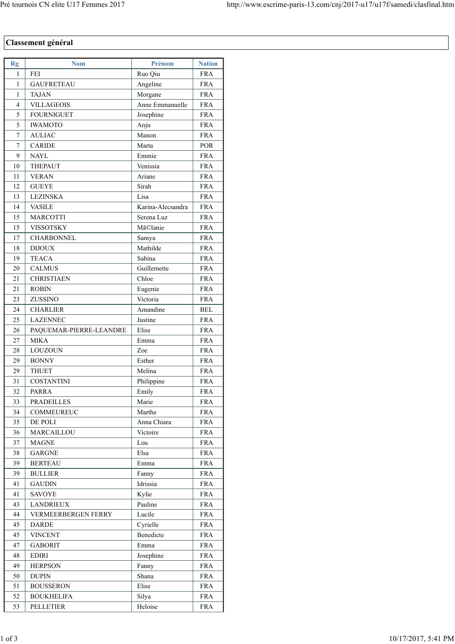## **Classement général**

| Rg       | <b>Nom</b>                         | Prénom            | <b>Nation</b>            |
|----------|------------------------------------|-------------------|--------------------------|
| 1        | FEI                                | Ruo Qiu           | <b>FRA</b>               |
| 1        | <b>GAUFRETEAU</b>                  | Angeline          | <b>FRA</b>               |
| 1        | <b>TAJAN</b>                       | Morgane           | <b>FRA</b>               |
| 4        | <b>VILLAGEOIS</b>                  | Anne Emmanuelle   | <b>FRA</b>               |
| 5        | <b>FOURNIGUET</b>                  | Josephine         | <b>FRA</b>               |
| 5        | <b>IWAMOTO</b>                     | Anju              | <b>FRA</b>               |
| 7        | <b>AULIAC</b>                      | Manon             | <b>FRA</b>               |
| 7        | <b>CARIDE</b>                      | Marta             | POR                      |
| 9        | <b>NAYL</b>                        | Emmie             | <b>FRA</b>               |
| 10       | THEPAUT                            | Venissia          | <b>FRA</b>               |
| 11       | <b>VERAN</b>                       | Ariane            | <b>FRA</b>               |
| 12       | <b>GUEYE</b>                       | Sirah             | <b>FRA</b>               |
| 13       | <b>LEZINSKA</b>                    | Lisa              | <b>FRA</b>               |
| 14       | <b>VASILE</b>                      | Karina-Alecsandra | <b>FRA</b>               |
| 15       | <b>MARCOTTI</b>                    | Serena Luz        | <b>FRA</b>               |
| 15       | VISSOTSKY                          | Mã©lanie          | <b>FRA</b>               |
| 17       | <b>CHARBONNEL</b>                  | Samya             | <b>FRA</b>               |
| 18       | <b>DIJOUX</b>                      | Mathilde          | <b>FRA</b>               |
| 19       | <b>TEACA</b>                       | Sabina            | <b>FRA</b>               |
|          |                                    | Guillemette       |                          |
| 20<br>21 | <b>CALMUS</b><br><b>CHRISTIAEN</b> | Chloe             | <b>FRA</b><br><b>FRA</b> |
|          |                                    |                   | <b>FRA</b>               |
| 21       | <b>ROBIN</b>                       | Eugenie           |                          |
| 23       | ZUSSINO                            | Victoria          | <b>FRA</b>               |
| 24       | <b>CHARLIER</b>                    | Amandine          | <b>BEL</b>               |
| 25       | <b>LAZENNEC</b>                    | Justine           | <b>FRA</b>               |
| 26       | PAQUEMAR-PIERRE-LEANDRE            | Elise             | <b>FRA</b>               |
| 27       | <b>MIKA</b>                        | Emma              | <b>FRA</b>               |
| 28       | LOUZOUN                            | Zoe               | <b>FRA</b>               |
| 29       | <b>BONNY</b>                       | Esther            | <b>FRA</b>               |
| 29       | <b>THUET</b>                       | Melina            | <b>FRA</b>               |
| 31       | <b>COSTANTINI</b>                  | Philippine        | <b>FRA</b>               |
| 32       | <b>PARRA</b>                       | Emily             | <b>FRA</b>               |
| 33       | PRADEILLES                         | Marie             | FRA                      |
| 34       | <b>COMMEUREUC</b>                  | Marthe            | <b>FRA</b>               |
| 35       | DE POLI                            | Anna Chiara       | <b>FRA</b>               |
| 36       | MARCAILLOU                         | Victoire          | <b>FRA</b>               |
| 37       | <b>MAGNE</b>                       | Lou               | <b>FRA</b>               |
| 38       | <b>GARGNE</b>                      | Elsa              | <b>FRA</b>               |
| 39       | <b>BERTEAU</b>                     | Emma              | <b>FRA</b>               |
| 39       | <b>BULLIER</b>                     | Fanny             | <b>FRA</b>               |
| 41       | <b>GAUDIN</b>                      | Idrissia          | <b>FRA</b>               |
| 41       | <b>SAVOYE</b>                      | Kylie             | <b>FRA</b>               |
| 43       | <b>LANDRIEUX</b>                   | Pauline           | <b>FRA</b>               |
| 44       | <b>VERMEERBERGEN FERRY</b>         | Lucile            | <b>FRA</b>               |
| 45       | <b>DARDE</b>                       | Cyrielle          | <b>FRA</b>               |
| 45       | <b>VINCENT</b>                     | Benedicte         | FRA                      |
| 47       | <b>GABORIT</b>                     | Emma              | <b>FRA</b>               |
| 48       | <b>EDIRI</b>                       | Josephine         | <b>FRA</b>               |
| 49       | <b>HERPSON</b>                     | Fanny             | <b>FRA</b>               |
| 50       | <b>DUPIN</b>                       | Shana             | <b>FRA</b>               |
| 51       | <b>BOUSSERON</b>                   | Elise             | <b>FRA</b>               |
| 52       | <b>BOUKHELIFA</b>                  | Silya             | <b>FRA</b>               |
| 53       | <b>PELLETIER</b>                   | Heloise           | <b>FRA</b>               |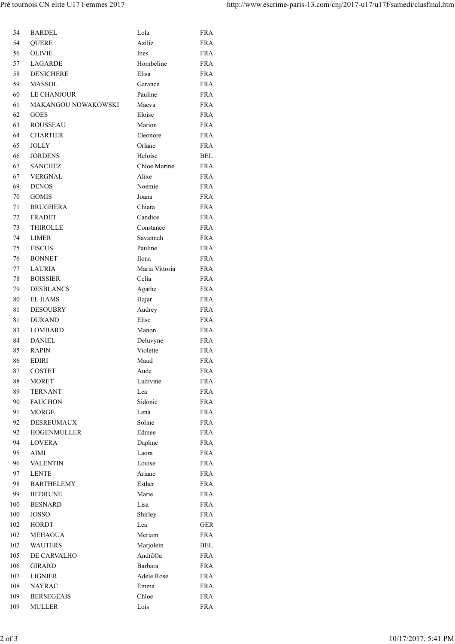| 54  | <b>BARDEL</b>       | Lola              | FRA         |
|-----|---------------------|-------------------|-------------|
| 54  | <b>QUERE</b>        | Aziliz            | <b>FRA</b>  |
| 56  | <b>OLIVIE</b>       | Ines              | <b>FRA</b>  |
| 57  | <b>LAGARDE</b>      | Hombeline         | FRA         |
| 58  | <b>DENICHERE</b>    | Elisa             | <b>FRA</b>  |
| 59  | <b>MASSOL</b>       | Garance           | <b>FRA</b>  |
| 60  | <b>LE CHANJOUR</b>  | Pauline           | <b>FRA</b>  |
| 61  | MAKANGOU NOWAKOWSKI | Maeva             | <b>FRA</b>  |
| 62  | <b>GOES</b>         | Eloise            | <b>FRA</b>  |
| 63  | <b>ROUSSEAU</b>     | Marion            | <b>FRA</b>  |
| 64  | <b>CHARTIER</b>     | Eleonore          | ${\rm FRA}$ |
| 65  | JOLLY               | Orlane            | <b>FRA</b>  |
| 66  | <b>JORDENS</b>      | Heloise           | BEL         |
| 67  | <b>SANCHEZ</b>      | Chloe Marine      | <b>FRA</b>  |
| 67  | <b>VERGNAL</b>      | Alixe             | <b>FRA</b>  |
| 69  | <b>DENOS</b>        | Noemie            | <b>FRA</b>  |
| 70  | <b>GOMIS</b>        | Joana             | <b>FRA</b>  |
| 71  | <b>BRUGHERA</b>     | Chiara            | <b>FRA</b>  |
| 72  | <b>FRADET</b>       | Candice           | <b>FRA</b>  |
| 73  | <b>THIROLLE</b>     | Constance         | <b>FRA</b>  |
| 74  | LIMER               | Savannah          | FRA         |
| 75  | <b>FISCUS</b>       | Pauline           | <b>FRA</b>  |
| 76  | <b>BONNET</b>       | Ilona             | <b>FRA</b>  |
| 77  | <b>LAURIA</b>       | Maria Vittoria    | <b>FRA</b>  |
| 78  | <b>BOISSIER</b>     | Celia             | <b>FRA</b>  |
| 79  | <b>DESBLANCS</b>    | Agathe            | FRA         |
| 80  | <b>EL HAMS</b>      | Hajar             | <b>FRA</b>  |
| 81  | <b>DESOUBRY</b>     | Audrey            | ${\rm FRA}$ |
| 81  | <b>DURAND</b>       | Elise             | <b>FRA</b>  |
| 83  | <b>LOMBARD</b>      | Manon             | <b>FRA</b>  |
| 84  | <b>DANIEL</b>       | Deluvyne          | <b>FRA</b>  |
| 85  | <b>RAPIN</b>        | Violette          | <b>FRA</b>  |
| 86  | <b>EDIRI</b>        | Maud              | <b>FRA</b>  |
| 87  | COSTET              | Aude              | <b>FRA</b>  |
| 88  | <b>MORET</b>        | Ludivine          | <b>FRA</b>  |
| 89  | <b>TERNANT</b>      | Lea               | <b>FRA</b>  |
| 90  | <b>FAUCHON</b>      | Sidonie           | <b>FRA</b>  |
| 91  | <b>MORGE</b>        | Lena              | <b>FRA</b>  |
| 92  | <b>DESREUMAUX</b>   | Soline            | <b>FRA</b>  |
| 92  | <b>HOGENMULLER</b>  | Edmee             | <b>FRA</b>  |
| 94  | LOVERA              | Daphne            | <b>FRA</b>  |
| 95  | AIMI                | Laora             | <b>FRA</b>  |
| 96  | <b>VALENTIN</b>     | Louise            | <b>FRA</b>  |
| 97  | <b>LENTE</b>        | Ariane            | <b>FRA</b>  |
| 98  | <b>BARTHELEMY</b>   | Esther            | <b>FRA</b>  |
| 99  | <b>BEDRUNE</b>      | Marie             | <b>FRA</b>  |
| 100 | <b>BESNARD</b>      | Lisa              | <b>FRA</b>  |
| 100 | JOSSO               | Shirley           | <b>FRA</b>  |
| 102 | <b>HORDT</b>        | Lea               | <b>GER</b>  |
| 102 | <b>MEHAOUA</b>      | Meriam            | <b>FRA</b>  |
| 102 | <b>WAUTERS</b>      | Marjolein         | BEL         |
| 105 | DE CARVALHO         | Andrã©a           | <b>FRA</b>  |
| 106 | <b>GIRARD</b>       | Barbara           | <b>FRA</b>  |
| 107 | <b>LIGNIER</b>      | <b>Adele Rose</b> | <b>FRA</b>  |
| 108 | <b>NAYRAC</b>       | Emma              | <b>FRA</b>  |
| 109 | <b>BERSEGEAIS</b>   | Chloe             | <b>FRA</b>  |
| 109 | <b>MULLER</b>       | Lois              | <b>FRA</b>  |
|     |                     |                   |             |